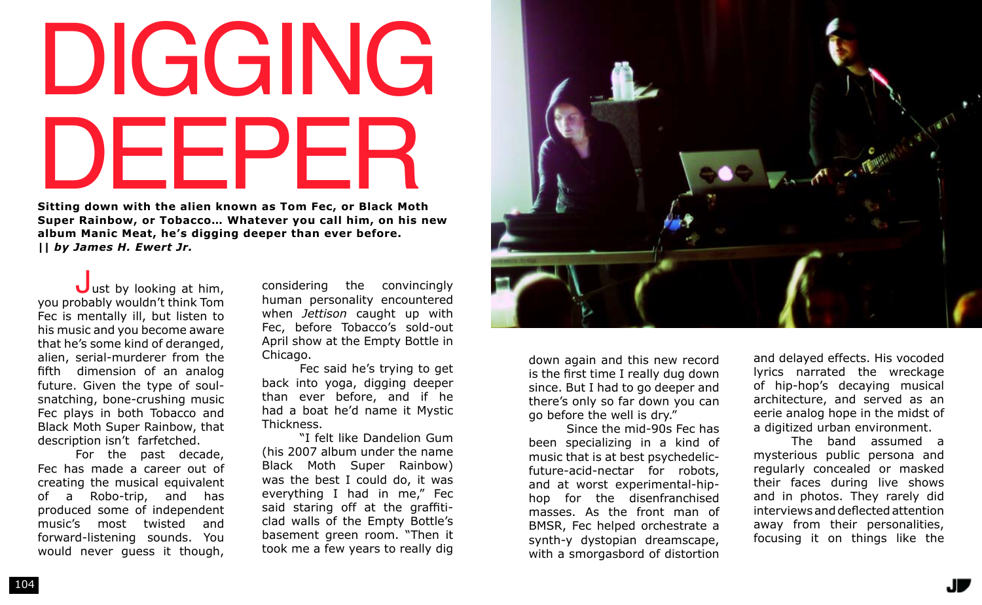## DIGGING DEEPER

**Sitting down with the alien known as Tom Fec, or Black Moth Super Rainbow, or Tobacco… Whatever you call him, on his new album Manic Meat, he's digging deeper than ever before.** *|| by James H. Ewert Jr.*

 $J$ ust by looking at him, you probably wouldn't think Tom Fec is mentally ill, but listen to his music and you become aware that he's some kind of deranged, alien, serial-murderer from the fifth dimension of an analog future. Given the type of soulsnatching, bone-crushing music Fec plays in both Tobacco and Black Moth Super Rainbow, that description isn't farfetched.

For the past decade, Fec has made a career out of creating the musical equivalent of a Robo-trip, and has produced some of independent music's most twisted and forward-listening sounds. You would never guess it though, considering the convincingly human personality encountered when *Jettison* caught up with Fec, before Tobacco's sold-out April show at the Empty Bottle in Chicago.

Fec said he's trying to get back into yoga, digging deeper than ever before, and if he had a boat he'd name it Mystic Thickness.

"I felt like Dandelion Gum (his 2007 album under the name Black Moth Super Rainbow) was the best I could do, it was everything I had in me," Fec said staring off at the graffiticlad walls of the Empty Bottle's basement green room. "Then it took me a few years to really dig



down again and this new record is the first time I really dug down since. But I had to go deeper and there's only so far down you can go before the well is dry."

Since the mid-90s Fec has been specializing in a kind of music that is at best psychedelicfuture-acid-nectar for robots, and at worst experimental-hiphop for the disenfranchised masses. As the front man of BMSR, Fec helped orchestrate a synth-y dystopian dreamscape, with a smorgasbord of distortion

and delayed effects. His vocoded lyrics narrated the wreckage of hip-hop's decaying musical architecture, and served as an eerie analog hope in the midst of a digitized urban environment.

The band assumed a mysterious public persona and regularly concealed or masked their faces during live shows and in photos. They rarely did interviews and deflected attention away from their personalities, focusing it on things like the